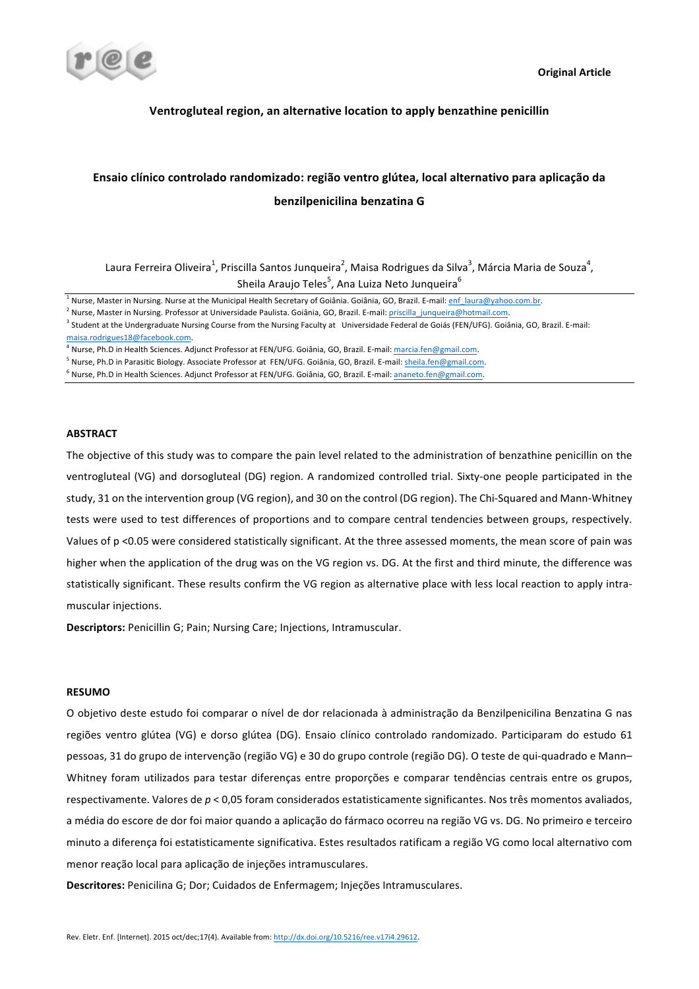

# Ventrogluteal region, an alternative location to apply benzathine penicillin

# Ensaio clínico controlado randomizado: região ventro glútea, local alternativo para aplicação da **benzilpenicilina benzatina G**

Laura Ferreira Oliveira $^1$ , Priscilla Santos Junqueira $^2$ , Maisa Rodrigues da Silva $^3$ , Márcia Maria de Souza $^4$ , Sheila Araujo Teles $^5$ , Ana Luiza Neto Junqueira $^6$ 

<sup>1</sup> Nurse, Master in Nursing. Nurse at the Municipal Health Secretary of Goiânia. Goiânia, GO, Brazil. E-mail: enf\_laura@yahoo.com.br.

<sup>2</sup> Nurse, Master in Nursing. Professor at Universidade Paulista. Goiânia, GO, Brazil. E-mail: priscilla junqueira@hotmail.com.

<sup>3</sup> Student at the Undergraduate Nursing Course from the Nursing Faculty at Universidade Federal de Goiás (FEN/UFG). Goiânia, GO, Brazil. E-mail: maisa.rodrigues18@facebook.com.

<sup>4</sup> Nurse, Ph.D in Health Sciences. Adjunct Professor at FEN/UFG. Goiânia, GO, Brazil. E-mail: marcia.fen@gmail.com.

 $^5$  Nurse, Ph.D in Parasitic Biology. Associate Professor at FEN/UFG. Goiânia, GO, Brazil. E-mail: sheila.fen@gmail.com.

 $^6$  Nurse, Ph.D in Health Sciences. Adjunct Professor at FEN/UFG. Goiânia, GO, Brazil. E-mail:  $\frac{anneto.fen@gmail.com}{anneto.fen@gmail.com}$ .

#### **ABSTRACT**

The objective of this study was to compare the pain level related to the administration of benzathine penicillin on the ventrogluteal (VG) and dorsogluteal (DG) region. A randomized controlled trial. Sixty-one people participated in the study, 31 on the intervention group (VG region), and 30 on the control (DG region). The Chi-Squared and Mann-Whitney tests were used to test differences of proportions and to compare central tendencies between groups, respectively. Values of  $p \le 0.05$  were considered statistically significant. At the three assessed moments, the mean score of pain was higher when the application of the drug was on the VG region vs. DG. At the first and third minute, the difference was statistically significant. These results confirm the VG region as alternative place with less local reaction to apply intramuscular injections.

**Descriptors:** Penicillin G; Pain; Nursing Care; Injections, Intramuscular.

### **RESUMO**

O objetivo deste estudo foi comparar o nível de dor relacionada à administração da Benzilpenicilina Benzatina G nas regiões ventro glútea (VG) e dorso glútea (DG). Ensaio clínico controlado randomizado. Participaram do estudo 61 pessoas, 31 do grupo de intervenção (região VG) e 30 do grupo controle (região DG). O teste de qui-quadrado e Mann– Whitney foram utilizados para testar diferenças entre proporções e comparar tendências centrais entre os grupos, respectivamente. Valores de  $p < 0.05$  foram considerados estatisticamente significantes. Nos três momentos avaliados, a média do escore de dor foi maior quando a aplicação do fármaco ocorreu na região VG vs. DG. No primeiro e terceiro minuto a diferença foi estatisticamente significativa. Estes resultados ratificam a região VG como local alternativo com menor reação local para aplicação de injeções intramusculares.

Descritores: Penicilina G; Dor; Cuidados de Enfermagem; Injeções Intramusculares.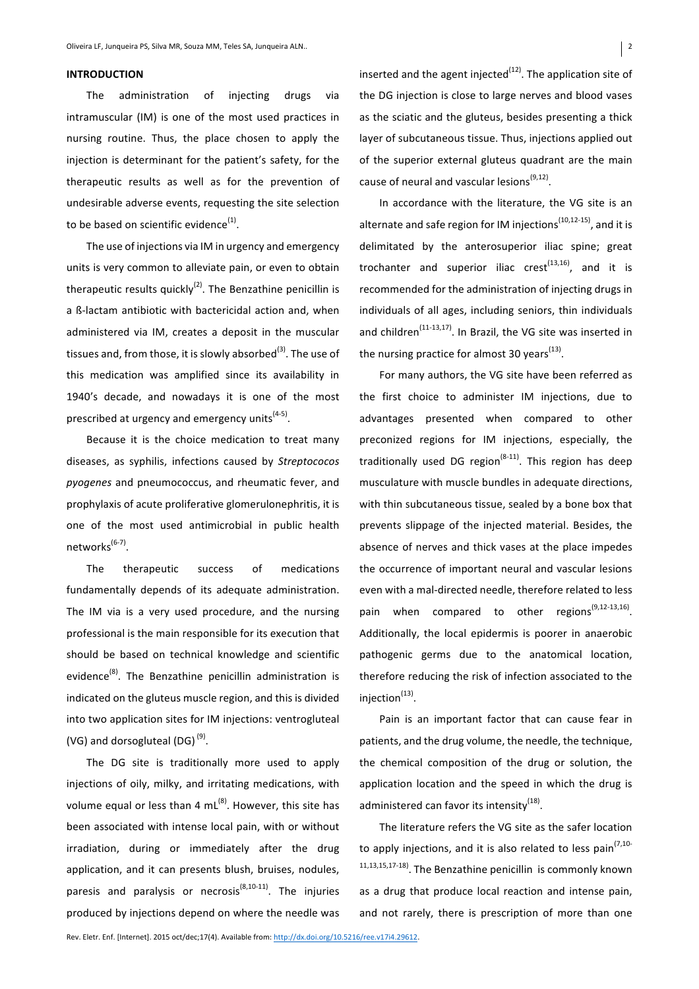### **INTRODUCTION**

The administration of injecting drugs via intramuscular (IM) is one of the most used practices in nursing routine. Thus, the place chosen to apply the injection is determinant for the patient's safety, for the therapeutic results as well as for the prevention of undesirable adverse events, requesting the site selection to be based on scientific evidence $<sup>(1)</sup>$ .</sup>

The use of injections via IM in urgency and emergency units is very common to alleviate pain, or even to obtain therapeutic results quickly<sup>(2)</sup>. The Benzathine penicillin is a ß-lactam antibiotic with bactericidal action and, when administered via IM, creates a deposit in the muscular tissues and, from those, it is slowly absorbed<sup>(3)</sup>. The use of this medication was amplified since its availability in 1940's decade, and nowadays it is one of the most prescribed at urgency and emergency units<sup>(4-5)</sup>.

Because it is the choice medication to treat many diseases, as syphilis, infections caused by Streptococos pyogenes and pneumococcus, and rheumatic fever, and prophylaxis of acute proliferative glomerulonephritis, it is one of the most used antimicrobial in public health networks<sup>(6-7)</sup>.

The therapeutic success of medications fundamentally depends of its adequate administration. The IM via is a very used procedure, and the nursing professional is the main responsible for its execution that should be based on technical knowledge and scientific evidence<sup>(8)</sup>. The Benzathine penicillin administration is indicated on the gluteus muscle region, and this is divided into two application sites for IM injections: ventrogluteal (VG) and dorsogluteal  $(DG)$ <sup>(9)</sup>.

The DG site is traditionally more used to apply iniections of oily, milky, and irritating medications, with volume equal or less than 4  $mL^{(8)}$ . However, this site has been associated with intense local pain, with or without irradiation, during or immediately after the drug application, and it can presents blush, bruises, nodules, paresis and paralysis or necrosis<sup>(8,10-11)</sup>. The injuries produced by injections depend on where the needle was

inserted and the agent injected $(12)$ . The application site of the DG injection is close to large nerves and blood vases as the sciatic and the gluteus, besides presenting a thick layer of subcutaneous tissue. Thus, injections applied out of the superior external gluteus quadrant are the main cause of neural and vascular lesions<sup>(9,12)</sup>.

In accordance with the literature, the VG site is an alternate and safe region for IM injections<sup>(10,12-15)</sup>, and it is delimitated by the anterosuperior iliac spine; great trochanter and superior iliac  $\text{crest}^{(13,16)}$ , and it is recommended for the administration of injecting drugs in individuals of all ages, including seniors, thin individuals and children<sup>(11-13,17)</sup>. In Brazil, the VG site was inserted in the nursing practice for almost 30 years<sup> $(13)$ </sup>.

For many authors, the VG site have been referred as the first choice to administer IM injections, due to advantages presented when compared to other preconized regions for IM injections, especially, the traditionally used DG region<sup>(8-11)</sup>. This region has deep musculature with muscle bundles in adequate directions, with thin subcutaneous tissue, sealed by a bone box that prevents slippage of the injected material. Besides, the absence of nerves and thick vases at the place impedes the occurrence of important neural and vascular lesions even with a mal-directed needle, therefore related to less pain when compared to other regions<sup>(9,12-13,16)</sup>. Additionally, the local epidermis is poorer in anaerobic pathogenic germs due to the anatomical location, therefore reducing the risk of infection associated to the injection $(13)$ .

Pain is an important factor that can cause fear in patients, and the drug volume, the needle, the technique, the chemical composition of the drug or solution, the application location and the speed in which the drug is administered can favor its intensity<sup>(18)</sup>.

The literature refers the VG site as the safer location to apply injections, and it is also related to less pain<sup>(7,10-</sup>)  $11,13,15,17-18$ . The Benzathine penicillin is commonly known as a drug that produce local reaction and intense pain, and not rarely, there is prescription of more than one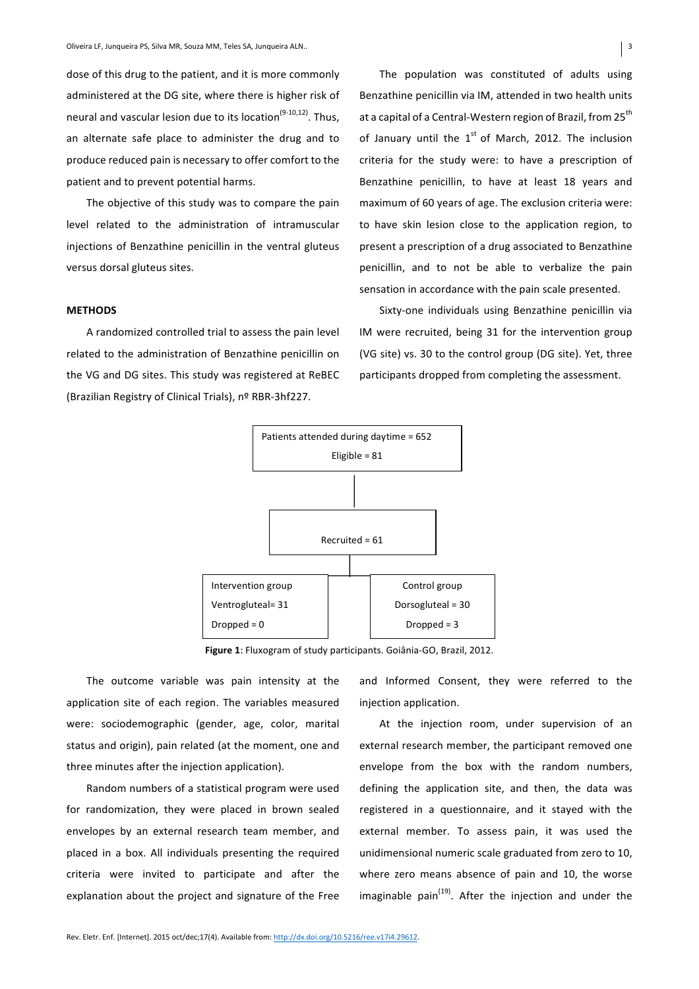dose of this drug to the patient, and it is more commonly administered at the DG site, where there is higher risk of neural and vascular lesion due to its location<sup>(9-10,12)</sup>. Thus, an alternate safe place to administer the drug and to produce reduced pain is necessary to offer comfort to the patient and to prevent potential harms.

The objective of this study was to compare the pain level related to the administration of intramuscular injections of Benzathine penicillin in the ventral gluteus versus dorsal gluteus sites.

#### **METHODS**

A randomized controlled trial to assess the pain level related to the administration of Benzathine penicillin on the VG and DG sites. This study was registered at ReBEC (Brazilian Registry of Clinical Trials), nº RBR-3hf227. 

The population was constituted of adults using Benzathine penicillin via IM, attended in two health units at a capital of a Central-Western region of Brazil, from 25<sup>th</sup> of January until the  $1<sup>st</sup>$  of March, 2012. The inclusion criteria for the study were: to have a prescription of Benzathine penicillin, to have at least 18 years and maximum of 60 years of age. The exclusion criteria were: to have skin lesion close to the application region, to present a prescription of a drug associated to Benzathine penicillin, and to not be able to verbalize the pain sensation in accordance with the pain scale presented.

Sixty-one individuals using Benzathine penicillin via IM were recruited, being 31 for the intervention group (VG site) vs. 30 to the control group (DG site). Yet, three participants dropped from completing the assessment.



Figure 1: Fluxogram of study participants. Goiânia-GO, Brazil, 2012.

The outcome variable was pain intensity at the application site of each region. The variables measured were: sociodemographic (gender, age, color, marital status and origin), pain related (at the moment, one and three minutes after the injection application).

Random numbers of a statistical program were used for randomization, they were placed in brown sealed envelopes by an external research team member, and placed in a box. All individuals presenting the required criteria were invited to participate and after the explanation about the project and signature of the Free

and Informed Consent, they were referred to the injection application.

At the injection room, under supervision of an external research member, the participant removed one envelope from the box with the random numbers, defining the application site, and then, the data was registered in a questionnaire, and it stayed with the external member. To assess pain, it was used the unidimensional numeric scale graduated from zero to 10, where zero means absence of pain and 10, the worse imaginable  $\pi$ ain<sup>(19)</sup>. After the injection and under the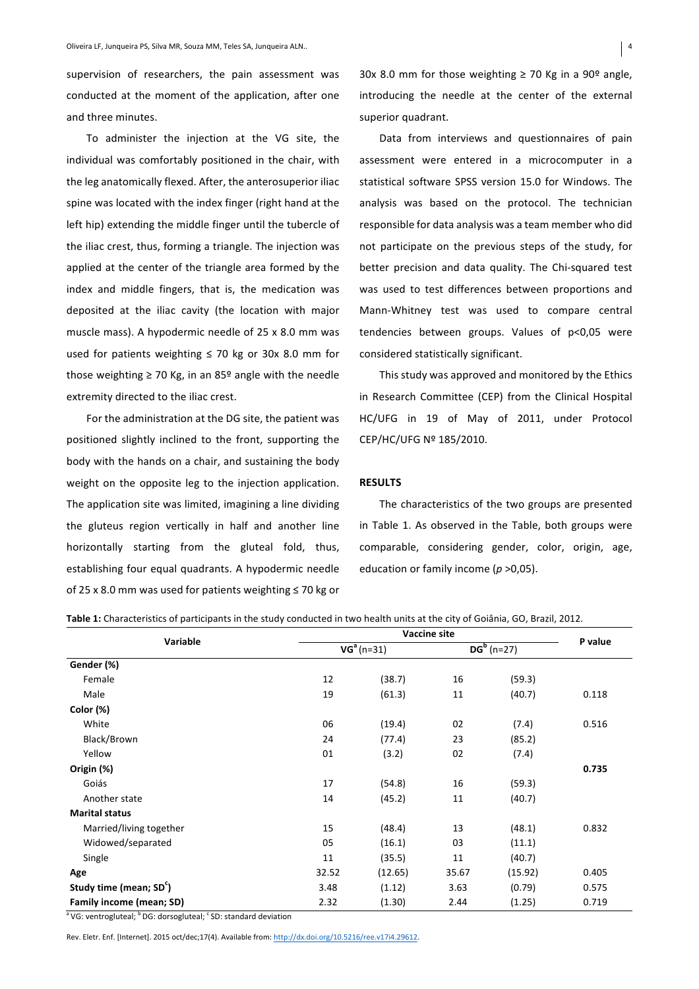supervision of researchers, the pain assessment was conducted at the moment of the application, after one and three minutes.

To administer the injection at the VG site, the individual was comfortably positioned in the chair, with the leg anatomically flexed. After, the anterosuperior iliac spine was located with the index finger (right hand at the left hip) extending the middle finger until the tubercle of the iliac crest, thus, forming a triangle. The injection was applied at the center of the triangle area formed by the index and middle fingers, that is, the medication was deposited at the iliac cavity (the location with major muscle mass). A hypodermic needle of  $25 \times 8.0$  mm was used for patients weighting  $\leq 70$  kg or 30x 8.0 mm for those weighting  $\geq 70$  Kg, in an 85<sup>o</sup> angle with the needle extremity directed to the iliac crest.

For the administration at the DG site, the patient was positioned slightly inclined to the front, supporting the body with the hands on a chair, and sustaining the body weight on the opposite leg to the injection application. The application site was limited, imagining a line dividing the gluteus region vertically in half and another line horizontally starting from the gluteal fold, thus, establishing four equal quadrants. A hypodermic needle of 25 x 8.0 mm was used for patients weighting  $\leq$  70 kg or 30x 8.0 mm for those weighting  $\geq$  70 Kg in a 90<sup>o</sup> angle, introducing the needle at the center of the external superior quadrant.

Data from interviews and questionnaires of pain assessment were entered in a microcomputer in a statistical software SPSS version 15.0 for Windows. The analysis was based on the protocol. The technician responsible for data analysis was a team member who did not participate on the previous steps of the study, for better precision and data quality. The Chi-squared test was used to test differences between proportions and Mann-Whitney test was used to compare central tendencies between groups. Values of p<0,05 were considered statistically significant.

This study was approved and monitored by the Ethics in Research Committee (CEP) from the Clinical Hospital HC/UFG in 19 of May of 2011, under Protocol CEP/HC/UFG Nº 185/2010. 

### **RESULTS**

The characteristics of the two groups are presented in Table 1. As observed in the Table, both groups were comparable, considering gender, color, origin, age, education or family income ( $p > 0.05$ ).

Table 1: Characteristics of participants in the study conducted in two health units at the city of Goiânia, GO, Brazil, 2012.

| Variable                            |              | P value |               |         |       |
|-------------------------------------|--------------|---------|---------------|---------|-------|
|                                     | $VGa (n=31)$ |         | $DG^b (n=27)$ |         |       |
| Gender (%)                          |              |         |               |         |       |
| Female                              | 12           | (38.7)  | 16            | (59.3)  |       |
| Male                                | 19           | (61.3)  | 11            | (40.7)  | 0.118 |
| Color (%)                           |              |         |               |         |       |
| White                               | 06           | (19.4)  | 02            | (7.4)   | 0.516 |
| Black/Brown                         | 24           | (77.4)  | 23            | (85.2)  |       |
| Yellow                              | 01           | (3.2)   | 02            | (7.4)   |       |
| Origin (%)                          |              |         |               |         | 0.735 |
| Goiás                               | 17           | (54.8)  | 16            | (59.3)  |       |
| Another state                       | 14           | (45.2)  | 11            | (40.7)  |       |
| <b>Marital status</b>               |              |         |               |         |       |
| Married/living together             | 15           | (48.4)  | 13            | (48.1)  | 0.832 |
| Widowed/separated                   | 05           | (16.1)  | 03            | (11.1)  |       |
| Single                              | 11           | (35.5)  | 11            | (40.7)  |       |
| Age                                 | 32.52        | (12.65) | 35.67         | (15.92) | 0.405 |
| Study time (mean; SD <sup>c</sup> ) | 3.48         | (1.12)  | 3.63          | (0.79)  | 0.575 |
| Family income (mean; SD)            | 2.32         | (1.30)  | 2.44          | (1.25)  | 0.719 |

<sup>a</sup> VG: ventrogluteal; <sup>b</sup> DG: dorsogluteal; <sup>c</sup> SD: standard deviation

Rev. Eletr. Enf. [Internet]. 2015 oct/dec;17(4). Available from: http://dx.doi.org/10.5216/ree.v17i4.29612.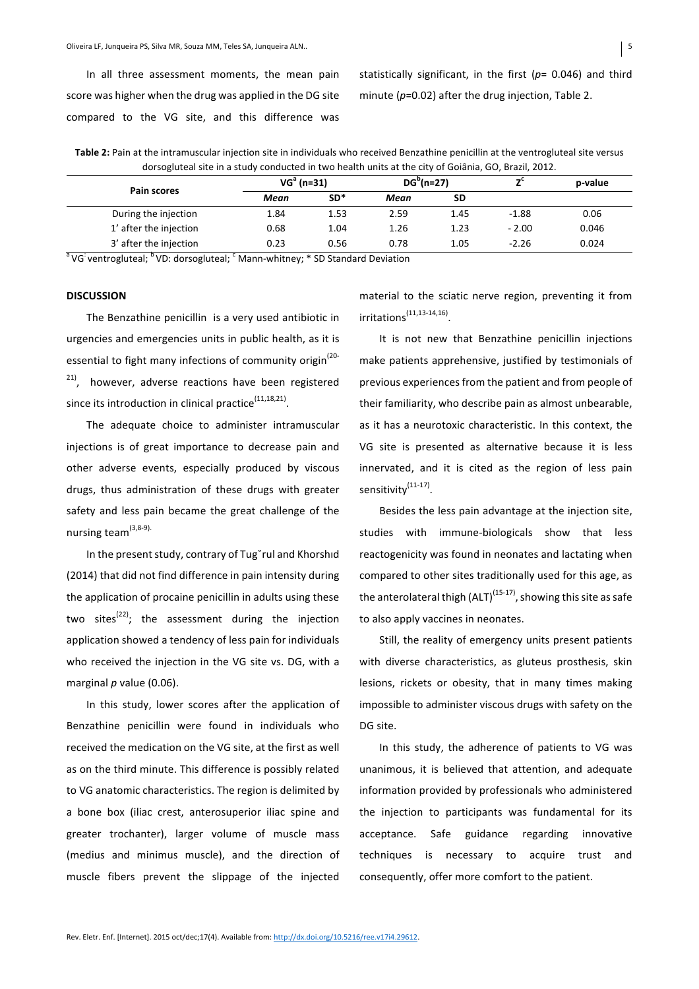In all three assessment moments, the mean pain score was higher when the drug was applied in the DG site compared to the VG site, and this difference was statistically significant, in the first  $(p= 0.046)$  and third minute  $(p=0.02)$  after the drug injection, Table 2.

Table 2: Pain at the intramuscular injection site in individuals who received Benzathine penicillin at the ventrogluteal site versus dorsogluteal site in a study conducted in two health units at the city of Goiânia, GO, Brazil, 2012.

| Pain scores            |      | $VGa$ (n=31) |      | $DG''(n=27)$ |         | p-value |
|------------------------|------|--------------|------|--------------|---------|---------|
|                        | Mean | $SD*$        | Mean | SD           |         |         |
| During the injection   | 1.84 | 1.53         | 2.59 | 1.45         | $-1.88$ | 0.06    |
| 1' after the injection | 0.68 | 1.04         | 1.26 | 1.23         | $-2.00$ | 0.046   |
| 3' after the injection | 0.23 | 0.56         | 0.78 | 1.05         | $-2.26$ | 0.024   |

<sup>a</sup> VG<sup>:</sup> ventrogluteal; <sup>b</sup> VD: dorsogluteal; <sup>c</sup> Mann-whitney; \* SD Standard Deviation

### **DISCUSSION**

The Benzathine penicillin is a very used antibiotic in urgencies and emergencies units in public health, as it is essential to fight many infections of community origin<sup>(20-</sup>  $21$ ), however, adverse reactions have been registered since its introduction in clinical practice<sup>(11,18,21)</sup>.

The adequate choice to administer intramuscular injections is of great importance to decrease pain and other adverse events, especially produced by viscous drugs, thus administration of these drugs with greater safety and less pain became the great challenge of the nursing team $(3,8-9)$ .

In the present study, contrary of Tug`rul and Khorshid (2014) that did not find difference in pain intensity during the application of procaine penicillin in adults using these two sites<sup>(22)</sup>; the assessment during the injection application showed a tendency of less pain for individuals who received the injection in the VG site vs. DG, with a marginal p value (0.06).

In this study, lower scores after the application of Benzathine penicillin were found in individuals who received the medication on the VG site, at the first as well as on the third minute. This difference is possibly related to VG anatomic characteristics. The region is delimited by a bone box (iliac crest, anterosuperior iliac spine and greater trochanter), larger volume of muscle mass (medius and minimus muscle), and the direction of muscle fibers prevent the slippage of the injected

material to the sciatic nerve region, preventing it from  $irritations<sup>(11,13-14,16)</sup>$ 

It is not new that Benzathine penicillin injections make patients apprehensive, justified by testimonials of previous experiences from the patient and from people of their familiarity, who describe pain as almost unbearable, as it has a neurotoxic characteristic. In this context, the VG site is presented as alternative because it is less innervated, and it is cited as the region of less pain sensitivitv<sup>(11-17)</sup>.

Besides the less pain advantage at the injection site. studies with immune-biologicals show that less reactogenicity was found in neonates and lactating when compared to other sites traditionally used for this age, as the anterolateral thigh  $(ALT)^{(15-17)}$ , showing this site as safe to also apply vaccines in neonates.

Still, the reality of emergency units present patients with diverse characteristics, as gluteus prosthesis, skin lesions, rickets or obesity, that in many times making impossible to administer viscous drugs with safety on the DG site.

In this study, the adherence of patients to VG was unanimous, it is believed that attention, and adequate information provided by professionals who administered the injection to participants was fundamental for its acceptance. Safe guidance regarding innovative techniques is necessary to acquire trust and consequently, offer more comfort to the patient.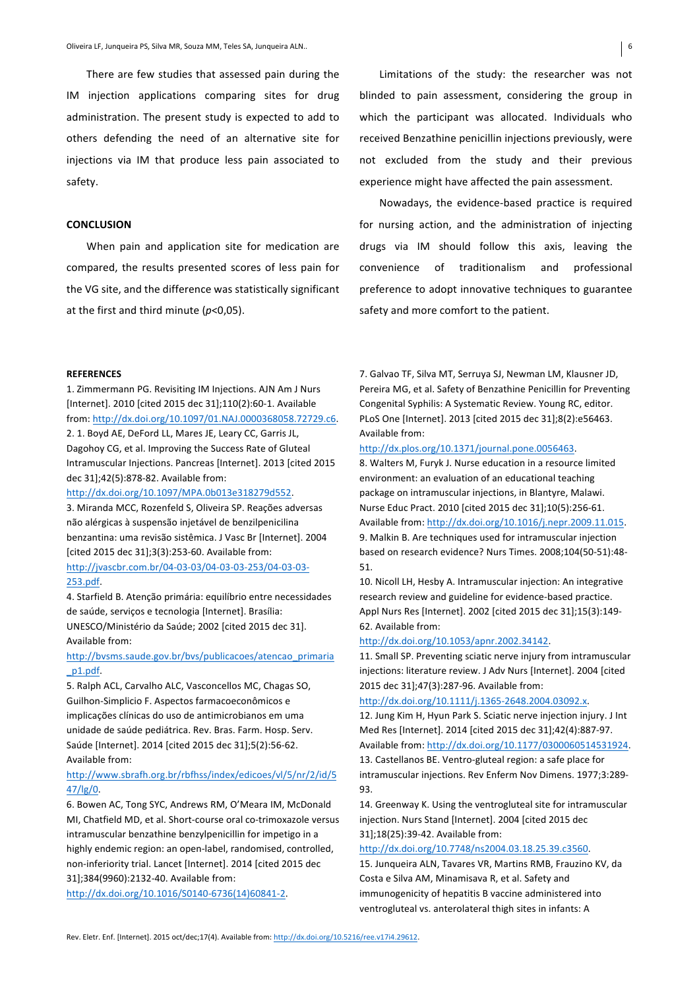There are few studies that assessed pain during the IM injection applications comparing sites for drug administration. The present study is expected to add to others defending the need of an alternative site for injections via IM that produce less pain associated to safety. 

## **CONCLUSION**

When pain and application site for medication are compared, the results presented scores of less pain for the VG site, and the difference was statistically significant at the first and third minute  $(p<0.05)$ .

#### **REFERENCES**

1. Zimmermann PG. Revisiting IM Injections. AJN Am J Nurs [Internet]. 2010 [cited 2015 dec 31];110(2):60-1. Available from: http://dx.doi.org/10.1097/01.NAJ.0000368058.72729.c6. 2. 1. Boyd AE, DeFord LL, Mares JE, Leary CC, Garris JL, Dagohoy CG, et al. Improving the Success Rate of Gluteal Intramuscular Injections. Pancreas [Internet]. 2013 [cited 2015 dec 31];42(5):878-82. Available from:

http://dx.doi.org/10.1097/MPA.0b013e318279d552.

3. Miranda MCC, Rozenfeld S, Oliveira SP. Reações adversas não alérgicas à suspensão injetável de benzilpenicilina benzantina: uma revisão sistêmica. J Vasc Br [Internet]. 2004 [cited 2015 dec 31];3(3):253-60. Available from:

http://jvascbr.com.br/04-03-03/04-03-03-253/04-03-03- 253.pdf.

4. Starfield B. Atenção primária: equilíbrio entre necessidades de saúde, serviços e tecnologia [Internet]. Brasília: UNESCO/Ministério da Saúde; 2002 [cited 2015 dec 31]. Available from:

http://bvsms.saude.gov.br/bvs/publicacoes/atencao\_primaria \_p1.pdf.

5. Ralph ACL, Carvalho ALC, Vasconcellos MC, Chagas SO, Guilhon-Simplicio F. Aspectos farmacoeconômicos e implicações clínicas do uso de antimicrobianos em uma unidade de saúde pediátrica. Rev. Bras. Farm. Hosp. Serv. Saúde [Internet]. 2014 [cited 2015 dec 31];5(2):56-62. Available from:

## http://www.sbrafh.org.br/rbfhss/index/edicoes/vl/5/nr/2/id/5 47/lg/0.

6. Bowen AC, Tong SYC, Andrews RM, O'Meara IM, McDonald MI, Chatfield MD, et al. Short-course oral co-trimoxazole versus intramuscular benzathine benzylpenicillin for impetigo in a highly endemic region: an open-label, randomised, controlled, non-inferiority trial. Lancet [Internet]. 2014 [cited 2015 dec 31];384(9960):2132-40. Available from:

http://dx.doi.org/10.1016/S0140-6736(14)60841-2.

Limitations of the study: the researcher was not blinded to pain assessment, considering the group in which the participant was allocated. Individuals who received Benzathine penicillin injections previously, were not excluded from the study and their previous experience might have affected the pain assessment.

Nowadays, the evidence-based practice is required for nursing action, and the administration of injecting drugs via IM should follow this axis, leaving the convenience of traditionalism and professional preference to adopt innovative techniques to guarantee safety and more comfort to the patient.

7. Galvao TF, Silva MT, Serruya SJ, Newman LM, Klausner JD, Pereira MG, et al. Safety of Benzathine Penicillin for Preventing Congenital Syphilis: A Systematic Review. Young RC, editor. PLoS One [Internet]. 2013 [cited 2015 dec 31];8(2):e56463. Available from:

#### http://dx.plos.org/10.1371/journal.pone.0056463.

8. Walters M, Furyk J. Nurse education in a resource limited environment: an evaluation of an educational teaching package on intramuscular injections, in Blantyre, Malawi. Nurse Educ Pract. 2010 [cited 2015 dec 31];10(5):256-61. Available from: http://dx.doi.org/10.1016/j.nepr.2009.11.015. 9. Malkin B. Are techniques used for intramuscular injection based on research evidence? Nurs Times. 2008;104(50-51):48-51.

10. Nicoll LH, Hesby A. Intramuscular injection: An integrative research review and guideline for evidence-based practice. Appl Nurs Res [Internet]. 2002 [cited 2015 dec 31];15(3):149-62. Available from:

http://dx.doi.org/10.1053/apnr.2002.34142.

11. Small SP. Preventing sciatic nerve injury from intramuscular injections: literature review. J Adv Nurs [Internet]. 2004 [cited 2015 dec 31];47(3):287-96. Available from:

http://dx.doi.org/10.1111/j.1365-2648.2004.03092.x.

12. Jung Kim H, Hyun Park S. Sciatic nerve injection injury. J Int Med Res [Internet]. 2014 [cited 2015 dec 31];42(4):887-97. Available from: http://dx.doi.org/10.1177/0300060514531924. 13. Castellanos BE. Ventro-gluteal region: a safe place for intramuscular injections. Rev Enferm Nov Dimens. 1977;3:289-93.

14. Greenway K. Using the ventrogluteal site for intramuscular injection. Nurs Stand [Internet]. 2004 [cited 2015 dec 31];18(25):39-42. Available from:

#### http://dx.doi.org/10.7748/ns2004.03.18.25.39.c3560.

15. Junqueira ALN, Tavares VR, Martins RMB, Frauzino KV, da Costa e Silva AM, Minamisava R, et al. Safety and immunogenicity of hepatitis B vaccine administered into ventrogluteal vs. anterolateral thigh sites in infants: A